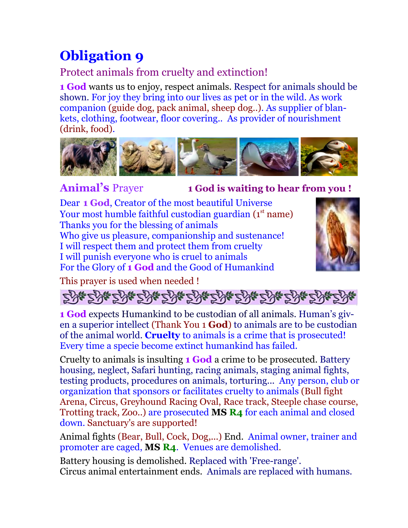## **Obligation 9**

## Protect animals from cruelty and extinction!

**1 God** wants us to enjoy, respect animals. Respect for animals should be shown. For joy they bring into our lives as pet or in the wild. As work companion (guide dog, pack animal, sheep dog..). As supplier of blankets, clothing, footwear, floor covering.. As provider of nourishment (drink, food).



**Animal's** Prayer **1 God is waiting to hear from you !**

Dear **1 God**, Creator of the most beautiful Universe Your most humble faithful custodian guardian (1st name) Thanks you for the blessing of animals Who give us pleasure, companionship and sustenance! I will respect them and protect them from cruelty I will punish everyone who is cruel to animals For the Glory of **1 God** and the Good of Humankind



This prayer is used when needed !

# 해군해산 하산 하산 하산 하산 하산 하산 하산 하산

**1 God** expects Humankind to be custodian of all animals. Human's given a superior intellect (Thank You 1 **God**) to animals are to be custodian of the animal world. **Cruelty** to animals is a crime that is prosecuted! Every time a specie become extinct humankind has failed.

Cruelty to animals is insulting **1 God** a crime to be prosecuted. Battery housing, neglect, Safari hunting, racing animals, staging animal fights, testing products, procedures on animals, torturing... Any person, club or organization that sponsors or facilitates cruelty to animals (Bull fight Arena, Circus, Greyhound Racing Oval, Race track, Steeple chase course, Trotting track, Zoo..) are prosecuted **MS R4** for each animal and closed down. Sanctuary's are supported!

Animal fights (Bear, Bull, Cock, Dog,...) End. Animal owner, trainer and promoter are caged, **MS R4**. Venues are demolished.

Battery housing is demolished. Replaced with 'Free-range'. Circus animal entertainment ends. Animals are replaced with humans.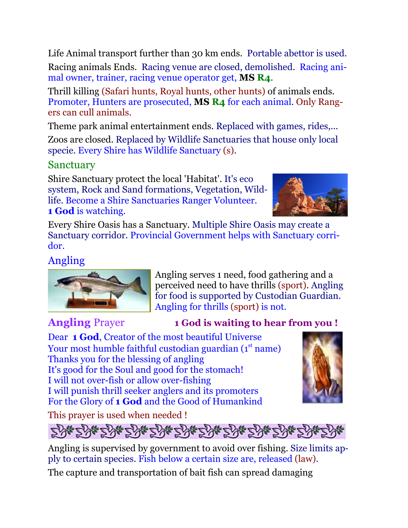Life Animal transport further than 30 km ends. Portable abettor is used. Racing animals Ends. Racing venue are closed, demolished. Racing animal owner, trainer, racing venue operator get, **MS R4**.

Thrill killing (Safari hunts, Royal hunts, other hunts) of animals ends. Promoter, Hunters are prosecuted, **MS R4** for each animal. Only Rangers can cull animals.

Theme park animal entertainment ends. Replaced with games, rides,...

Zoos are closed. Replaced by Wildlife Sanctuaries that house only local specie. Every Shire has Wildlife Sanctuary (s).

### Sanctuary

Shire Sanctuary protect the local 'Habitat'. It's eco system, Rock and Sand formations, Vegetation, Wildlife. Become a Shire Sanctuaries Ranger Volunteer. **1 God** is watching.



Every Shire Oasis has a Sanctuary. Multiple Shire Oasis may create a Sanctuary corridor. Provincial Government helps with Sanctuary corridor.

### Angling



Angling serves 1 need, food gathering and a perceived need to have thrills (sport). Angling for food is supported by Custodian Guardian. Angling for thrills (sport) is not.

#### **Angling** Prayer **1 God is waiting to hear from you !**

Dear **1 God**, Creator of the most beautiful Universe Your most humble faithful custodian guardian (1st name) Thanks you for the blessing of angling It's good for the Soul and good for the stomach! I will not over-fish or allow over-fishing I will punish thrill seeker anglers and its promoters For the Glory of **1 God** and the Good of Humankind



This prayer is used when needed !



Angling is supervised by government to avoid over fishing. Size limits apply to certain species. Fish below a certain size are, released (law).

The capture and transportation of bait fish can spread damaging